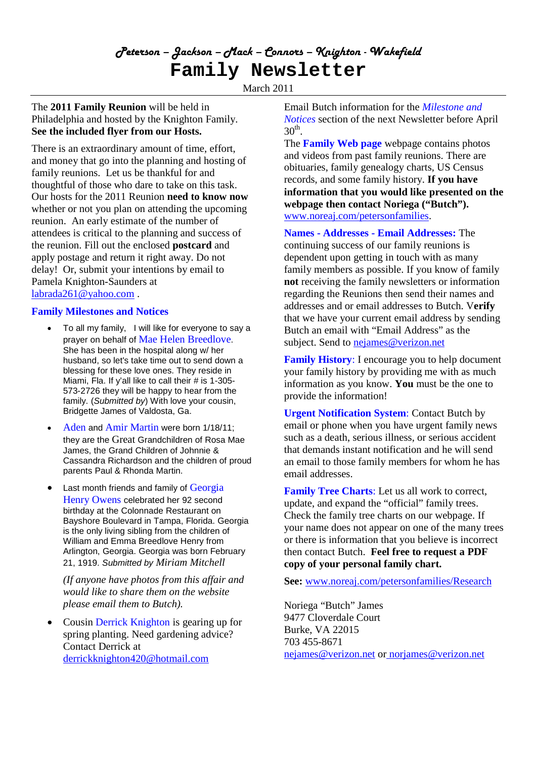# *Peterson – Jackson – Mack – Connors – Knighton - Wakefield* **Family Newsletter**

March 2011

## The **2011 Family Reunion** will be held in Philadelphia and hosted by the Knighton Family. **See the included flyer from our Hosts.**

There is an extraordinary amount of time, effort, and money that go into the planning and hosting of family reunions. Let us be thankful for and thoughtful of those who dare to take on this task. Our hosts for the 2011 Reunion **need to know now** whether or not you plan on attending the upcoming reunion. An early estimate of the number of attendees is critical to the planning and success of the reunion. Fill out the enclosed **postcard** and apply postage and return it right away. Do not delay! Or, submit your intentions by email to Pamela Knighton-Saunders at labrada261@yahoo.com .

## **Family Milestones and Notices**

- To all my family, I will like for everyone to say a prayer on behalf of Mae Helen Breedlove. She has been in the hospital along w/ her husband, so let's take time out to send down a blessing for these love ones. They reside in Miami, Fla. If y'all like to call their # is 1-305- 573-2726 they will be happy to hear from the family. (*Submitted by*) With love your cousin, Bridgette James of Valdosta, Ga.
- Aden and Amir Martin were born 1/18/11; they are the Great Grandchildren of Rosa Mae James, the Grand Children of Johnnie & Cassandra Richardson and the children of proud parents Paul & Rhonda Martin.
- Last month friends and family of Georgia Henry Owens celebrated her 92 second birthday at the Colonnade Restaurant on Bayshore Boulevard in Tampa, Florida. Georgia is the only living sibling from the children of William and Emma Breedlove Henry from Arlington, Georgia. Georgia was born February 21, 1919. *Submitted by Miriam Mitchell*

*(If anyone have photos from this affair and would like to share them on the website please email them to Butch).*

 Cousin Derrick Knighton is gearing up for spring planting. Need gardening advice? Contact Derrick at derrickknighton420@hotmail.com

Email Butch information for the *Milestone and Notices* section of the next Newsletter before April  $30<sup>th</sup>$ .

The **Family Web page** webpage contains photos and videos from past family reunions. There are obituaries, family genealogy charts, US Census records, and some family history. **If you have information that you would like presented on the webpage then contact Noriega ("Butch").** www.noreaj.com/petersonfamilies.

**Names - Addresses - Email Addresses:** The continuing success of our family reunions is dependent upon getting in touch with as many family members as possible. If you know of family **not** receiving the family newsletters or information regarding the Reunions then send their names and addresses and or email addresses to Butch. V**erify** that we have your current email address by sending Butch an email with "Email Address" as the subject. Send to nejames@verizon.net

**Family History**: I encourage you to help document your family history by providing me with as much information as you know. **You** must be the one to provide the information!

**Urgent Notification System**: Contact Butch by email or phone when you have urgent family news such as a death, serious illness, or serious accident that demands instant notification and he will send an email to those family members for whom he has email addresses.

**Family Tree Charts**: Let us all work to correct, update, and expand the "official" family trees. Check the family tree charts on our webpage. If your name does not appear on one of the many trees or there is information that you believe is incorrect then contact Butch. **Feel free to request a PDF copy of your personal family chart.**

**See:** www.noreaj.com/petersonfamilies/Research

Noriega "Butch" James 9477 Cloverdale Court Burke, VA 22015 703 455-8671 nejames@verizon.net or norjames@verizon.net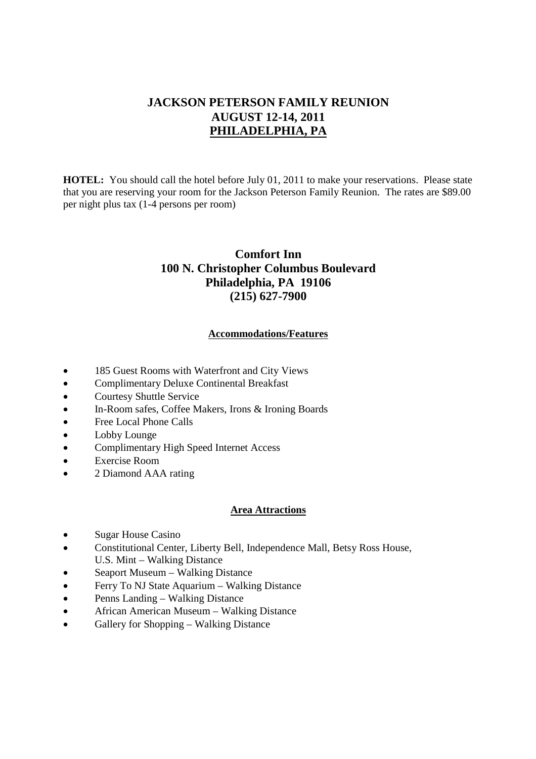# **JACKSON PETERSON FAMILY REUNION AUGUST 12-14, 2011 PHILADELPHIA, PA**

**HOTEL:** You should call the hotel before July 01, 2011 to make your reservations. Please state that you are reserving your room for the Jackson Peterson Family Reunion. The rates are \$89.00 per night plus tax (1-4 persons per room)

# **Comfort Inn 100 N. Christopher Columbus Boulevard Philadelphia, PA 19106 (215) 627-7900**

#### **Accommodations/Features**

- 185 Guest Rooms with Waterfront and City Views
- Complimentary Deluxe Continental Breakfast
- Courtesy Shuttle Service
- In-Room safes, Coffee Makers, Irons & Ironing Boards
- Free Local Phone Calls
- Lobby Lounge
- Complimentary High Speed Internet Access
- Exercise Room
- 2 Diamond AAA rating

#### **Area Attractions**

- Sugar House Casino
- Constitutional Center, Liberty Bell, Independence Mall, Betsy Ross House, U.S. Mint – Walking Distance
- Seaport Museum Walking Distance
- Ferry To NJ State Aquarium Walking Distance
- Penns Landing Walking Distance
- African American Museum Walking Distance
- Gallery for Shopping Walking Distance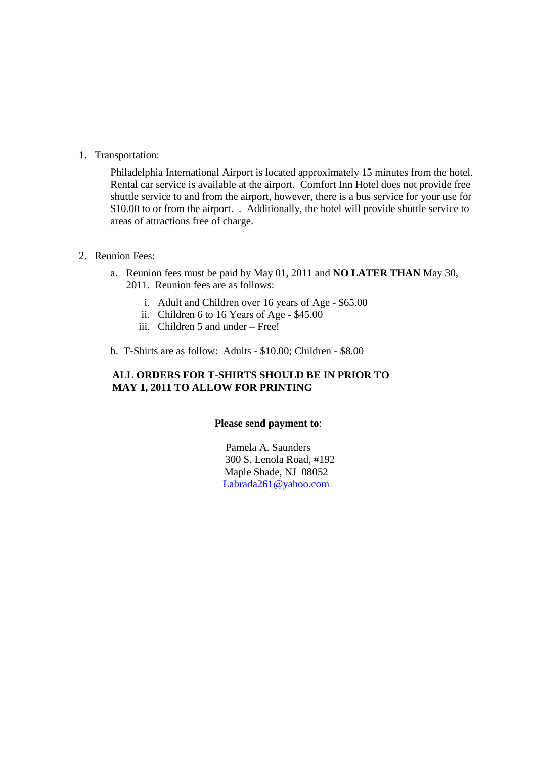1. Transportation:

Philadelphia International Airport is located approximately 15 minutes from the hotel. Rental car service is available at the airport. Comfort Inn Hotel does not provide free shuttle service to and from the airport, however, there is a bus service for your use for \$10.00 to or from the airport. . Additionally, the hotel will provide shuttle service to areas of attractions free of charge.

#### 2. Reunion Fees:

- a. Reunion fees must be paid by May 01, 2011 and **NO LATER THAN** May 30, 2011. Reunion fees are as follows:
	- i. Adult and Children over 16 years of Age \$65.00
	- ii. Children 6 to 16 Years of Age \$45.00
	- iii. Children 5 and under Free!
- b. T-Shirts are as follow: Adults \$10.00; Children \$8.00

## **ALL ORDERS FOR T-SHIRTS SHOULD BE IN PRIOR TO MAY 1, 2011 TO ALLOW FOR PRINTING**

#### **Please send payment to**:

Pamela A. Saunders 300 S. Lenola Road, #192 Maple Shade, NJ 08052 Labrada261@yahoo.com